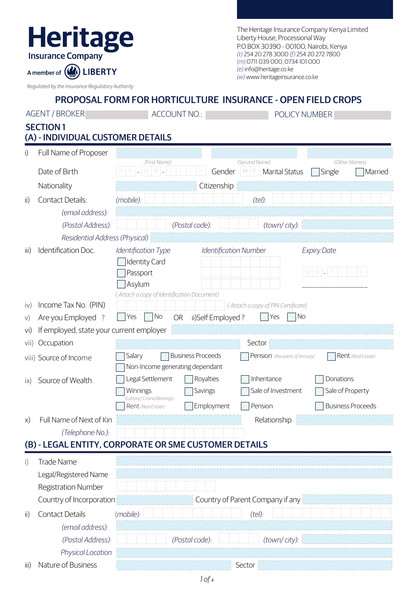| FII L                    |
|--------------------------|
| <b>Insurance Company</b> |

The Heritage Insurance Company Kenya Limited Liberty House, Processional Way P.O BOX 30390 - 00100, Nairobi, Kenya *(t)* 254 20 278 3000 *(f)* 254 20 272 7800 *(m)* 0711 039 000, 0734 101 000 *(e)* info@heritage.co.ke *(w)* www.heritageinsurance.co.ke

*Regulated by the Insurance Regulatory Authority*

A member of  $($ 

**LIBERTY** 

|      | <b>AGENT / BROKER</b>                    | <b>ACCOUNT NO.:</b>                                                                                                                                                              | POLICY NUMBER                                                                                             |  |  |
|------|------------------------------------------|----------------------------------------------------------------------------------------------------------------------------------------------------------------------------------|-----------------------------------------------------------------------------------------------------------|--|--|
|      | <b>SECTION1</b>                          |                                                                                                                                                                                  |                                                                                                           |  |  |
|      | (A) - INDIVIDUAL CUSTOMER DETAILS        |                                                                                                                                                                                  |                                                                                                           |  |  |
| i)   | Full Name of Proposer                    |                                                                                                                                                                                  |                                                                                                           |  |  |
|      | Date of Birth                            | (First Name)<br>M<br>D I <br>M                                                                                                                                                   | (Second Name)<br>(Other Names)<br>Marital Status<br>Gender<br>M F<br>Single<br>Married                    |  |  |
|      | Nationality                              | Citizenship                                                                                                                                                                      |                                                                                                           |  |  |
| ii)  | Contact Details:                         | (mobile):                                                                                                                                                                        | (tel):                                                                                                    |  |  |
|      | (email address):                         |                                                                                                                                                                                  |                                                                                                           |  |  |
|      | (Postal Address):                        | (Postal code):                                                                                                                                                                   | (town/city):                                                                                              |  |  |
|      | Residential Address (Physical)           |                                                                                                                                                                                  |                                                                                                           |  |  |
| iii) | Identification Doc.                      | Identification Type<br><b>Identification Number</b><br><b>Expiry Date</b><br><b>Identity Card</b><br>$M$ $M$<br>Passport<br>Asylum<br>(Attach a copy of Identification Document) |                                                                                                           |  |  |
| iv)  | Income Tax No. (PIN)                     |                                                                                                                                                                                  | (Attach a copy of PIN Certificate)                                                                        |  |  |
| V)   | Are you Employed ?                       | No<br>Yes<br><b>OR</b><br>ii)Self Employed?                                                                                                                                      | <b>No</b><br>Yes                                                                                          |  |  |
| Vİ)  | If employed, state your current employer |                                                                                                                                                                                  |                                                                                                           |  |  |
| vii) | Occupation                               |                                                                                                                                                                                  | Sector                                                                                                    |  |  |
|      | viii) Source of Income                   | Salary<br><b>Business Proceeds</b><br>Non-Income generating dependant                                                                                                            | Rent (Real Estate)<br>Pension (Recipient of Annuity)                                                      |  |  |
| ix)  | Source of Wealth                         | Legal Settlement<br>Royalties<br>Winnings<br>Savings<br>(Lottery/ Casino/Bettings)<br>Employment<br>Rent (Real Estate)                                                           | Inheritance<br>Donations<br>Sale of Investment<br>Sale of Property<br><b>Business Proceeds</b><br>Pension |  |  |
| X)   | Full Name of Next of Kin                 |                                                                                                                                                                                  | Relationship                                                                                              |  |  |
|      | (Telephone No.):                         |                                                                                                                                                                                  |                                                                                                           |  |  |
|      |                                          | (B) - LEGAL ENTITY, CORPORATE OR SME CUSTOMER DETAILS                                                                                                                            |                                                                                                           |  |  |
| i)   | <b>Trade Name</b>                        |                                                                                                                                                                                  |                                                                                                           |  |  |
|      | Legal/Registered Name                    |                                                                                                                                                                                  |                                                                                                           |  |  |
|      | <b>Registration Number</b>               |                                                                                                                                                                                  |                                                                                                           |  |  |
|      | Country of Incorporation                 | Country of Parent Company if any                                                                                                                                                 |                                                                                                           |  |  |
| ii)  | <b>Contact Details</b>                   | (mobile):                                                                                                                                                                        | (tel):                                                                                                    |  |  |
|      | (email address):                         |                                                                                                                                                                                  |                                                                                                           |  |  |
|      | (Postal Address):                        | (Postal code):                                                                                                                                                                   | (town/city):                                                                                              |  |  |
|      | Physical Location                        |                                                                                                                                                                                  |                                                                                                           |  |  |
| iii) | Nature of Business                       |                                                                                                                                                                                  | Sector                                                                                                    |  |  |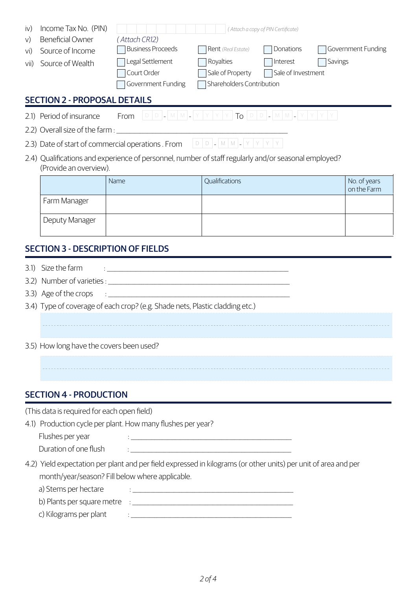| $\mathsf{iv}$<br>V)<br>vi)<br>vii)                                                                                             | Income Tax No. (PIN)<br><b>Beneficial Owner</b><br>Source of Income<br>Source of Wealth | (Attach CR12)<br><b>Business Proceeds</b><br>Legal Settlement<br>Court Order<br>Government Funding                                                                                                                                   | (Attach a copy of PIN Certificate)<br>Rent (Real Estate)<br>Royalties<br>Sale of Property<br>Shareholders Contribution | Donations<br>Savings<br>Interest<br>Sale of Investment | Government Funding          |
|--------------------------------------------------------------------------------------------------------------------------------|-----------------------------------------------------------------------------------------|--------------------------------------------------------------------------------------------------------------------------------------------------------------------------------------------------------------------------------------|------------------------------------------------------------------------------------------------------------------------|--------------------------------------------------------|-----------------------------|
|                                                                                                                                | <b>SECTION 2 - PROPOSAL DETAILS</b>                                                     |                                                                                                                                                                                                                                      |                                                                                                                        |                                                        |                             |
|                                                                                                                                | 2.1) Period of insurance                                                                | From $D D - M M - Y Y Y Y T_0 D D - M M - Y Y Y$                                                                                                                                                                                     |                                                                                                                        |                                                        |                             |
|                                                                                                                                |                                                                                         | 2.2) Overall size of the farm :                                                                                                                                                                                                      |                                                                                                                        |                                                        |                             |
|                                                                                                                                |                                                                                         |                                                                                                                                                                                                                                      |                                                                                                                        |                                                        |                             |
| 2.4) Qualifications and experience of personnel, number of staff regularly and/or seasonal employed?<br>(Provide an overview). |                                                                                         |                                                                                                                                                                                                                                      |                                                                                                                        |                                                        |                             |
|                                                                                                                                |                                                                                         | Name                                                                                                                                                                                                                                 | Qualifications                                                                                                         |                                                        | No. of years<br>on the Farm |
|                                                                                                                                | Farm Manager                                                                            |                                                                                                                                                                                                                                      |                                                                                                                        |                                                        |                             |
|                                                                                                                                | Deputy Manager                                                                          |                                                                                                                                                                                                                                      |                                                                                                                        |                                                        |                             |
| <b>SECTION 3 - DESCRIPTION OF FIELDS</b>                                                                                       |                                                                                         |                                                                                                                                                                                                                                      |                                                                                                                        |                                                        |                             |
| 3.1)                                                                                                                           | Size the farm                                                                           | <u>: International Communication of the Communication of the Communication of the Communication of the Communication of the Communication of the Communication of the Communication of the Communication of the Communication of</u> |                                                                                                                        |                                                        |                             |
|                                                                                                                                |                                                                                         |                                                                                                                                                                                                                                      |                                                                                                                        |                                                        |                             |
|                                                                                                                                | 3.3) Age of the crops                                                                   |                                                                                                                                                                                                                                      |                                                                                                                        |                                                        |                             |
|                                                                                                                                |                                                                                         | 3.4) Type of coverage of each crop? (e.g. Shade nets, Plastic cladding etc.)                                                                                                                                                         |                                                                                                                        |                                                        |                             |

3.5) How long have the covers been used?

## SECTION 4 - PRODUCTION

(This data is required for each open field)

4.1) Production cycle per plant. How many flushes per year?

| Flushes per year      |  |
|-----------------------|--|
| Duration of one flush |  |

4.2) Yield expectation per plant and per field expressed in kilograms (or other units) per unit of area and per month/year/season? Fill below where applicable.

a) Stems per hectare : \_\_\_\_\_\_\_\_\_\_\_\_\_\_\_\_\_\_\_\_\_\_\_\_\_\_\_\_\_\_\_\_\_\_\_\_\_\_\_\_\_\_\_\_\_\_\_\_\_\_\_\_\_\_\_\_\_\_\_\_\_\_

b) Plants per square metre : \_\_\_\_\_\_\_\_\_\_\_\_\_\_\_\_\_\_\_\_\_\_\_\_\_\_\_\_\_\_\_\_\_\_\_\_\_\_\_\_\_\_\_\_\_\_\_\_\_\_\_\_\_\_\_\_\_\_\_\_\_\_

c) Kilograms per plant : \_\_\_\_\_\_\_\_\_\_\_\_\_\_\_\_\_\_\_\_\_\_\_\_\_\_\_\_\_\_\_\_\_\_\_\_\_\_\_\_\_\_\_\_\_\_\_\_\_\_\_\_\_\_\_\_\_\_\_\_\_\_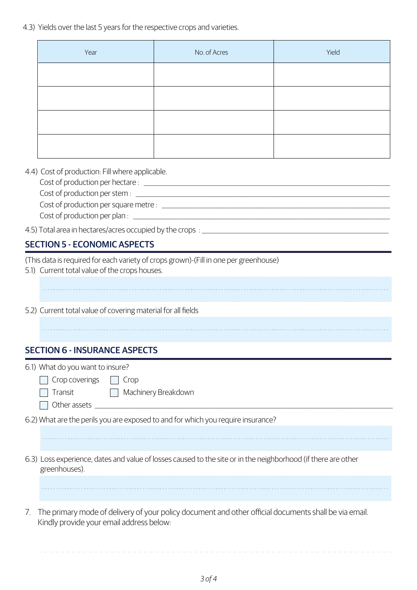4.3) Yields over the last 5 years for the respective crops and varieties.

| Year | No. of Acres | Yield |
|------|--------------|-------|
|      |              |       |
|      |              |       |
|      |              |       |
|      |              |       |

4.4) Cost of production: Fill where applicable.

Cost of production per hectare : \_\_\_\_\_\_\_\_\_\_\_\_\_\_\_\_\_\_\_\_\_\_\_\_\_\_\_\_\_\_\_\_\_\_\_\_\_\_\_\_\_\_\_\_\_\_\_\_\_\_\_\_\_\_\_\_\_\_\_\_\_\_\_\_\_\_\_\_\_\_\_\_\_\_\_\_\_\_\_\_\_\_\_\_\_\_\_\_\_\_\_\_\_\_\_

Cost of production per stem :

Cost of production per square metre : \_\_\_\_\_\_\_\_\_\_\_\_\_\_\_\_\_\_\_\_\_\_\_\_\_\_\_\_\_\_\_\_\_\_\_\_\_\_\_\_\_\_\_\_\_\_\_\_\_\_\_\_\_\_\_\_\_\_\_\_\_\_\_\_\_\_\_\_\_\_\_\_\_\_\_\_\_\_\_\_\_\_\_\_\_\_\_\_

Cost of production per plan : \_\_\_\_\_\_\_\_\_\_\_\_\_\_\_\_\_\_\_\_\_\_\_\_\_\_\_\_\_\_\_\_\_\_\_\_\_\_\_\_\_\_\_\_\_\_\_\_\_\_\_\_\_\_\_\_\_\_\_\_\_\_\_\_\_\_\_\_\_\_\_\_\_\_\_\_\_\_\_\_\_\_\_\_\_\_\_\_\_\_\_\_\_\_\_\_\_\_\_

4.5) Total area in hectares/acres occupied by the crops : \_\_\_\_\_\_\_\_\_\_\_\_\_\_\_\_\_\_\_\_\_\_\_\_\_\_\_\_\_\_\_\_\_\_\_\_\_\_\_\_\_\_\_\_\_\_\_\_\_\_\_\_\_\_\_\_\_\_\_\_\_\_\_\_\_\_\_\_\_\_\_\_

## SECTION 5 - ECONOMIC ASPECTS

(This data is required for each variety of crops grown)-(Fill in one per greenhouse)

- 5.1) Current total value of the crops houses.
- 5.2) Current total value of covering material for all fields

## SECTION 6 - INSURANCE ASPECTS

| 6.1) What do you want to insure?                                                                                                                                |  |  |
|-----------------------------------------------------------------------------------------------------------------------------------------------------------------|--|--|
| $Crop$ coverings $\ \cdot\ $<br>Crop                                                                                                                            |  |  |
| Transit   Machinery Breakdown                                                                                                                                   |  |  |
| Other assets                                                                                                                                                    |  |  |
| 6.2) What are the perils you are exposed to and for which you require insurance?                                                                                |  |  |
|                                                                                                                                                                 |  |  |
|                                                                                                                                                                 |  |  |
| 6.3) Loss experience, dates and value of losses caused to the site or in the neighborhood (if there are other<br>greenhouses).                                  |  |  |
|                                                                                                                                                                 |  |  |
| The primary mode of delivery of your policy document and other official documents shall be via email.<br>$\sqrt{2}$<br>Kindly provide your email address below: |  |  |